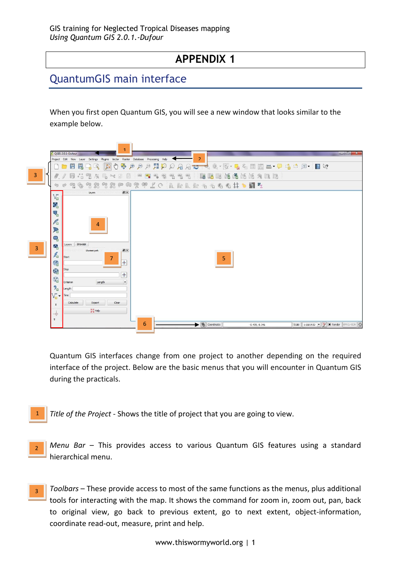# **APPENDIX 1**

# QuantumGIS main interface

When you first open Quantum GIS, you will see a new window that looks similar to the example below.



Quantum GIS interfaces change from one project to another depending on the required interface of the project. Below are the basic menus that you will encounter in Quantum GIS during the practicals.

- *Title of the Project* Shows the title of project that you are going to view. 1
- *Menu Bar* This provides access to various Quantum GIS features using a standard hierarchical menu. 2
- *Toolbars* These provide access to most of the same functions as the menus, plus additional tools for interacting with the map. It shows the command for zoom in, zoom out, pan, back to original view, go back to previous extent, go to next extent, object-information, coordinate read-out, measure, print and help. 3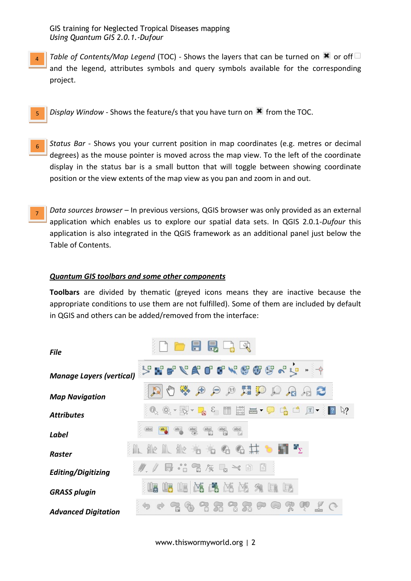GIS training for Neglected Tropical Diseases mapping *Using Quantum GIS 2.0.1.-Dufour*

- *Table of Contents/Map Legend* (TOC) Shows the layers that can be turned on  $\blacksquare$  or off and the legend, attributes symbols and query symbols available for the corresponding project. 4
	- *Display Window* Shows the feature/s that you have turn on **X** from the TOC. 5
- *Status Bar* Shows you your current position in map coordinates (e.g. metres or decimal degrees) as the mouse pointer is moved across the map view. To the left of the coordinate display in the status bar is a small button that will toggle between showing coordinate position or the view extents of the map view as you pan and zoom in and out. 6
- *Data sources browser*  In previous versions, QGIS browser was only provided as an external application which enables us to explore our spatial data sets. In QGIS 2.0.1-*Dufour* this application is also integrated in the QGIS framework as an additional panel just below the Table of Contents. 7

#### *Quantum GIS toolbars and some other components*

**Toolbars** are divided by thematic (greyed icons means they are inactive because the appropriate conditions to use them are not fulfilled). Some of them are included by default in QGIS and others can be added/removed from the interface:

| <b>File</b>                     | $\blacksquare$<br>$\Box$                                                                                             |
|---------------------------------|----------------------------------------------------------------------------------------------------------------------|
| <b>Manage Layers (vertical)</b> | $\mathcal{G}$ is a $\mathcal{L}$ is a compact of $\mathcal{E}$<br>$\rightarrow$                                      |
| <b>Map Navigation</b>           | 德<br>$\bigoplus$<br>建步<br>(1:1)<br>$\rtimes$ 2<br>$\mathcal{P}$                                                      |
| <b>Attributes</b>               | 880<br>疆<br>$\varepsilon$<br>$\Box$<br>$T$ $\sim$<br>$\&$ ?<br>$\Box$<br>$\equiv$ $\sqrt{2}$<br>$= -\sqrt{2}$<br>$=$ |
| <b>Label</b>                    | (abc<br>abc<br>ab <sub>0</sub><br>$\frac{abc}{\sqrt{ab}}$<br>$\frac{abc}{b}$<br>ab <sub>0</sub><br>$rac{abc}{9}$     |
| <b>Raster</b>                   | 能工能有<br>某<br>$\mathbf{H}^{\mathbf{H}}$<br>ਿੰਦ                                                                        |
| Editing/Digitizing              | $\frac{1}{2}$<br>E<br>$\sqrt[3]{3}$<br>B<br>$\gg$<br>$\mathbb{F}$<br>$\rightarrow$                                   |
| <b>GRASS plugin</b>             | EM<br>耳                                                                                                              |
| <b>Advanced Digitation</b>      | Qŧ<br>R<br>$\triangledown$<br>ă<br>$\sum_{i=1}^n$<br>75<br>ăň                                                        |

www.thiswormyworld.org | 2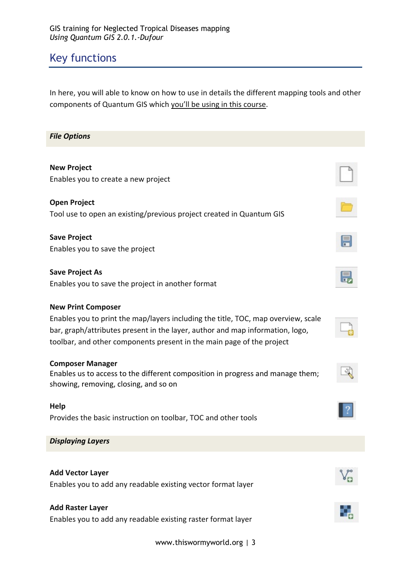# Key functions

In here, you will able to know on how to use in details the different mapping tools and other components of Quantum GIS which you'll be using in this course.

| <b>File Options</b>                                                                                                                                                                                                                                                      |  |  |  |  |
|--------------------------------------------------------------------------------------------------------------------------------------------------------------------------------------------------------------------------------------------------------------------------|--|--|--|--|
| <b>New Project</b><br>Enables you to create a new project                                                                                                                                                                                                                |  |  |  |  |
| <b>Open Project</b><br>Tool use to open an existing/previous project created in Quantum GIS                                                                                                                                                                              |  |  |  |  |
| <b>Save Project</b><br>Enables you to save the project                                                                                                                                                                                                                   |  |  |  |  |
| <b>Save Project As</b><br>Enables you to save the project in another format                                                                                                                                                                                              |  |  |  |  |
| <b>New Print Composer</b><br>Enables you to print the map/layers including the title, TOC, map overview, scale<br>bar, graph/attributes present in the layer, author and map information, logo,<br>toolbar, and other components present in the main page of the project |  |  |  |  |
| <b>Composer Manager</b><br>Enables us to access to the different composition in progress and manage them;<br>showing, removing, closing, and so on                                                                                                                       |  |  |  |  |
| Help<br>Provides the basic instruction on toolbar, TOC and other tools                                                                                                                                                                                                   |  |  |  |  |
| <b>Displaying Layers</b>                                                                                                                                                                                                                                                 |  |  |  |  |
| <b>Add Vector Layer</b><br>Enables you to add any readable existing vector format layer                                                                                                                                                                                  |  |  |  |  |
| <b>Add Raster Layer</b><br>Enables you to add any readable existing raster format layer                                                                                                                                                                                  |  |  |  |  |

www.thiswormyworld.org | 3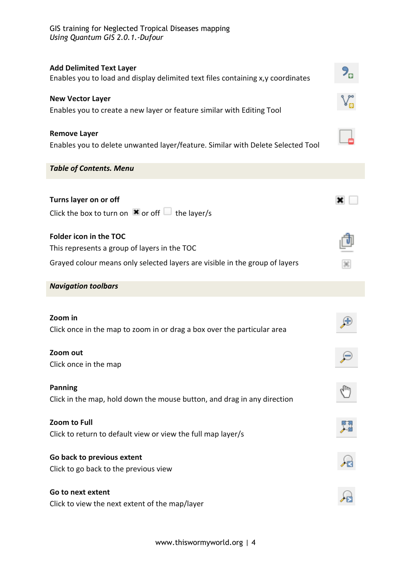| <b>Add Delimited Text Layer</b><br>Enables you to load and display delimited text files containing x,y coordinates |  |  |  |
|--------------------------------------------------------------------------------------------------------------------|--|--|--|
| <b>New Vector Layer</b>                                                                                            |  |  |  |
| Enables you to create a new layer or feature similar with Editing Tool                                             |  |  |  |
| <b>Remove Layer</b><br>Enables you to delete unwanted layer/feature. Similar with Delete Selected Tool             |  |  |  |
| <b>Table of Contents. Menu</b>                                                                                     |  |  |  |
|                                                                                                                    |  |  |  |
| Turns layer on or off                                                                                              |  |  |  |
| Click the box to turn on $\mathbf x$ or off $\Box$ the layer/s                                                     |  |  |  |
| Folder icon in the TOC                                                                                             |  |  |  |
| This represents a group of layers in the TOC                                                                       |  |  |  |
| Grayed colour means only selected layers are visible in the group of layers                                        |  |  |  |
| <b>Navigation toolbars</b>                                                                                         |  |  |  |
|                                                                                                                    |  |  |  |
| Zoom in                                                                                                            |  |  |  |
| Click once in the map to zoom in or drag a box over the particular area                                            |  |  |  |
| Zoom out                                                                                                           |  |  |  |
| Click once in the map                                                                                              |  |  |  |
| <b>Panning</b>                                                                                                     |  |  |  |
| Click in the map, hold down the mouse button, and drag in any direction                                            |  |  |  |
|                                                                                                                    |  |  |  |
| Zoom to Full                                                                                                       |  |  |  |
| Click to return to default view or view the full map layer/s                                                       |  |  |  |
| Go back to previous extent                                                                                         |  |  |  |
| Click to go back to the previous view                                                                              |  |  |  |
| Go to next extent                                                                                                  |  |  |  |
| Click to view the next extent of the map/layer                                                                     |  |  |  |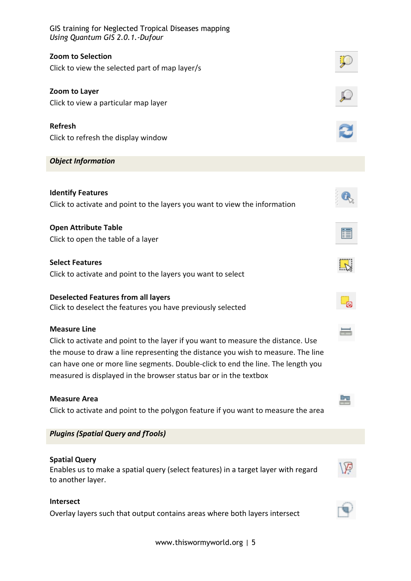GIS training for Neglected Tropical Diseases mapping *Using Quantum GIS 2.0.1.-Dufour* **Zoom to Selection** Click to view the selected part of map layer/s **Zoom to Layer** Click to view a particular map layer **Refresh** Click to refresh the display window *Object Information* **Identify Features** Click to activate and point to the layers you want to view the information **Open Attribute Table** Click to open the table of a layer **Select Features** Click to activate and point to the layers you want to select **Deselected Features from all layers** Click to deselect the features you have previously selected **Measure Line** Click to activate and point to the layer if you want to measure the distance. Use the mouse to draw a line representing the distance you wish to measure. The line can have one or more line segments. Double-click to end the line. The length you measured is displayed in the browser status bar or in the textbox **Measure Area** la. Click to activate and point to the polygon feature if you want to measure the area *Plugins (Spatial Query and fTools)* **Spatial Query** Enables us to make a spatial query (select features) in a target layer with regard to another layer. **Intersect** Overlay layers such that output contains areas where both layers intersect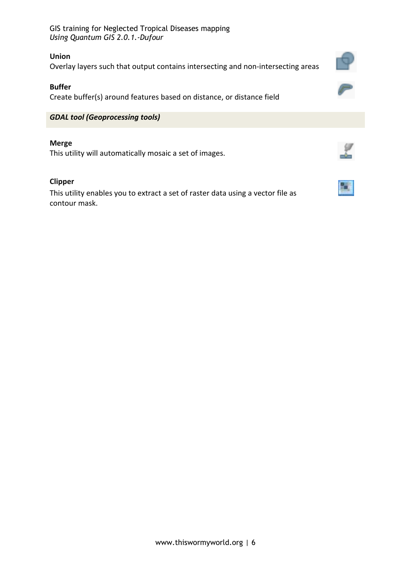GIS training for Neglected Tropical Diseases mapping *Using Quantum GIS 2.0.1.-Dufour*

#### **Union**

Overlay layers such that output contains intersecting and non-intersecting areas

## **Buffer**

Create buffer(s) around features based on distance, or distance field

## *GDAL tool (Geoprocessing tools)*

#### **Merge**

This utility will automatically mosaic a set of images.

## **Clipper**

This utility enables you to extract a set of raster data using a vector file as contour mask.





77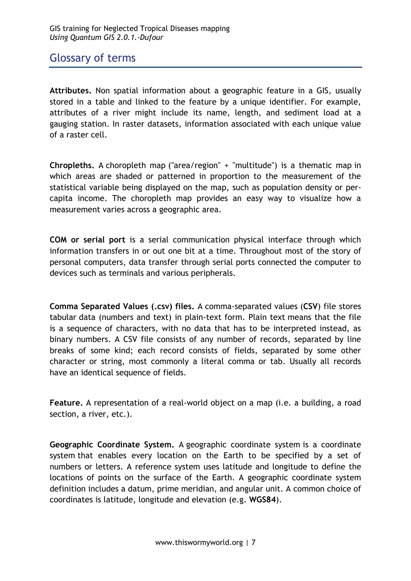## Glossary of terms

**Attributes.** Non spatial information about a geographic feature in a GIS, usually stored in a table and linked to the feature by a unique identifier. For example, attributes of a river might include its name, length, and sediment load at a gauging station. In raster datasets, information associated with each unique value of a raster cell.

**Chropleths.** A choropleth map ("area/region" + "multitude") is a thematic map in which areas are shaded or patterned in proportion to the measurement of the statistical variable being displayed on the map, such as population density or percapita income. The choropleth map provides an easy way to visualize how a measurement varies across a geographic area.

**COM or serial port** is a serial communication physical interface through which information transfers in or out one bit at a time. Throughout most of the story of personal computers, data transfer through serial ports connected the computer to devices such as terminals and various peripherals.

**Comma Separated Values (.csv) files.** A comma-separated values (**CSV**) file stores tabular data (numbers and text) in plain-text form. Plain text means that the file is a sequence of characters, with no data that has to be interpreted instead, as binary numbers. A CSV file consists of any number of records, separated by line breaks of some kind; each record consists of fields, separated by some other character or string, most commonly a literal comma or tab. Usually all records have an identical sequence of fields.

**Feature.** A representation of a real-world object on a map (i.e. a building, a road section, a river, etc.).

**Geographic Coordinate System.** A geographic coordinate system is a coordinate system that enables every location on the Earth to be specified by a set of numbers or letters. A reference system uses latitude and longitude to define the locations of points on the surface of the Earth. A geographic coordinate system definition includes a datum, prime meridian, and angular unit. A common choice of coordinates is latitude, longitude and elevation (e.g. **WGS84**).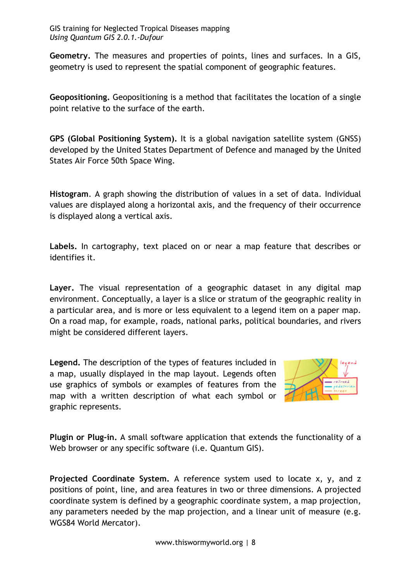**Geometry.** The measures and properties of points, lines and surfaces. In a GIS, geometry is used to represent the spatial component of geographic features.

**Geopositioning.** Geopositioning is a method that facilitates the location of a single point relative to the surface of the earth.

**GPS (Global Positioning System).** It is a global navigation satellite system (GNSS) developed by the United States Department of Defence and managed by the United States Air Force 50th Space Wing.

**Histogram**. A graph showing the distribution of values in a set of data. Individual values are displayed along a horizontal axis, and the frequency of their occurrence is displayed along a vertical axis.

**Labels.** In cartography, text placed on or near a map feature that describes or identifies it.

**Layer.** The visual representation of a geographic dataset in any digital map environment. Conceptually, a layer is a slice or stratum of the geographic reality in a particular area, and is more or less equivalent to a legend item on a paper map. On a road map, for example, roads, national parks, political boundaries, and rivers might be considered different layers.

**Legend.** The description of the types of features included in a map, usually displayed in the map layout. Legends often use graphics of symbols or examples of features from the map with a written description of what each symbol or graphic represents.



**Plugin or Plug-in.** A small software application that extends the functionality of a Web browser or any specific software (*i.e. Quantum GIS*).

**Projected Coordinate System.** A reference system used to locate x, y, and z positions of point, line, and area features in two or three dimensions. A projected coordinate system is defined by a geographic coordinate system, a map projection, any parameters needed by the map projection, and a linear unit of measure (e.g. WGS84 World Mercator).